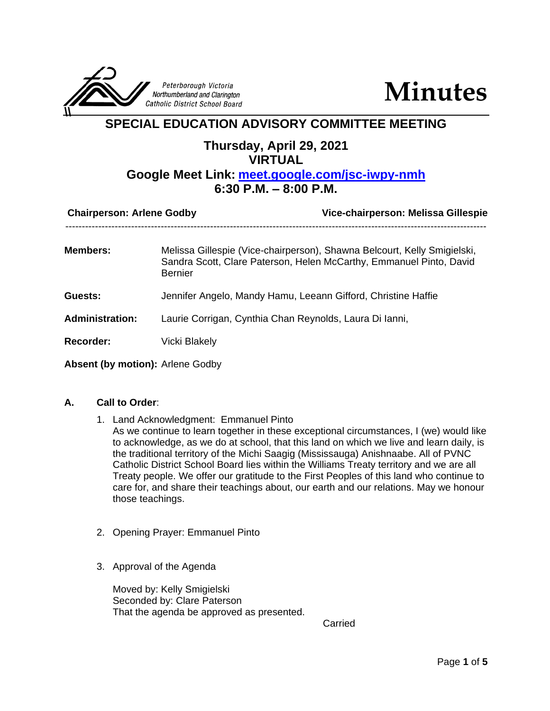

**Minutes**

## **SPECIAL EDUCATION ADVISORY COMMITTEE MEETING**

## **Thursday, April 29, 2021 VIRTUAL**

# **Google Meet Link: [meet.google.com/jsc-iwpy-nmh](file:///C:/Users/lcorrigan/Downloads/meet.google.com/jsc-iwpy-nmh) 6:30 P.M. – 8:00 P.M.**

| <b>Chairperson: Arlene Godby</b> |                                                                                                                                                                   | Vice-chairperson: Melissa Gillespie |
|----------------------------------|-------------------------------------------------------------------------------------------------------------------------------------------------------------------|-------------------------------------|
| <b>Members:</b>                  | Melissa Gillespie (Vice-chairperson), Shawna Belcourt, Kelly Smigielski,<br>Sandra Scott, Clare Paterson, Helen McCarthy, Emmanuel Pinto, David<br><b>Bernier</b> |                                     |
| Guests:                          | Jennifer Angelo, Mandy Hamu, Leeann Gifford, Christine Haffie                                                                                                     |                                     |
| <b>Administration:</b>           | Laurie Corrigan, Cynthia Chan Reynolds, Laura Di Ianni,                                                                                                           |                                     |
| <b>Recorder:</b>                 | Vicki Blakely                                                                                                                                                     |                                     |
| Absent (by motion): Arlene Godby |                                                                                                                                                                   |                                     |

## **A. Call to Order**:

- 1. Land Acknowledgment: Emmanuel Pinto As we continue to learn together in these exceptional circumstances, I (we) would like to acknowledge, as we do at school, that this land on which we live and learn daily, is the traditional territory of the Michi Saagig (Mississauga) Anishnaabe. All of PVNC Catholic District School Board lies within the Williams Treaty territory and we are all Treaty people. We offer our gratitude to the First Peoples of this land who continue to care for, and share their teachings about, our earth and our relations. May we honour those teachings.
- 2. Opening Prayer: Emmanuel Pinto
- 3. Approval of the Agenda

Moved by: Kelly Smigielski Seconded by: Clare Paterson That the agenda be approved as presented.

Carried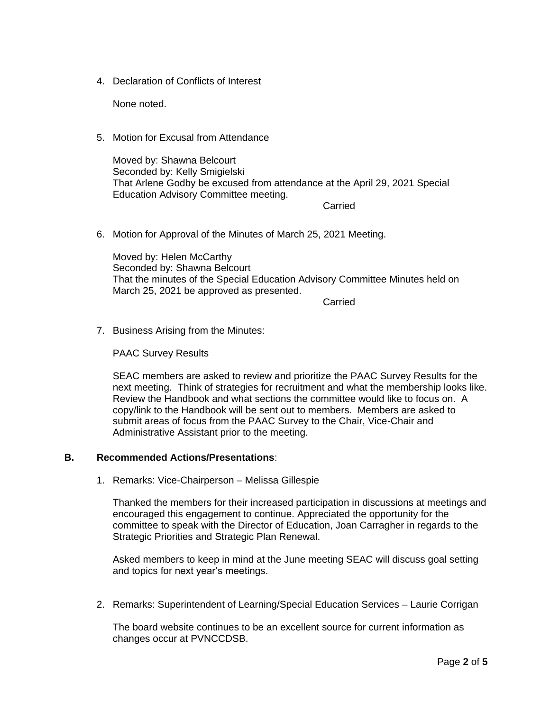4. Declaration of Conflicts of Interest

None noted.

5. Motion for Excusal from Attendance

Moved by: Shawna Belcourt Seconded by: Kelly Smigielski That Arlene Godby be excused from attendance at the April 29, 2021 Special Education Advisory Committee meeting.

Carried

6. Motion for Approval of the Minutes of March 25, 2021 Meeting.

Moved by: Helen McCarthy Seconded by: Shawna Belcourt That the minutes of the Special Education Advisory Committee Minutes held on March 25, 2021 be approved as presented.

**Carried** 

7. Business Arising from the Minutes:

PAAC Survey Results

SEAC members are asked to review and prioritize the PAAC Survey Results for the next meeting. Think of strategies for recruitment and what the membership looks like. Review the Handbook and what sections the committee would like to focus on. A copy/link to the Handbook will be sent out to members. Members are asked to submit areas of focus from the PAAC Survey to the Chair, Vice-Chair and Administrative Assistant prior to the meeting.

### **B. Recommended Actions/Presentations**:

1. Remarks: Vice-Chairperson – Melissa Gillespie

Thanked the members for their increased participation in discussions at meetings and encouraged this engagement to continue. Appreciated the opportunity for the committee to speak with the Director of Education, Joan Carragher in regards to the Strategic Priorities and Strategic Plan Renewal.

Asked members to keep in mind at the June meeting SEAC will discuss goal setting and topics for next year's meetings.

2. Remarks: Superintendent of Learning/Special Education Services – Laurie Corrigan

The board website continues to be an excellent source for current information as changes occur at PVNCCDSB.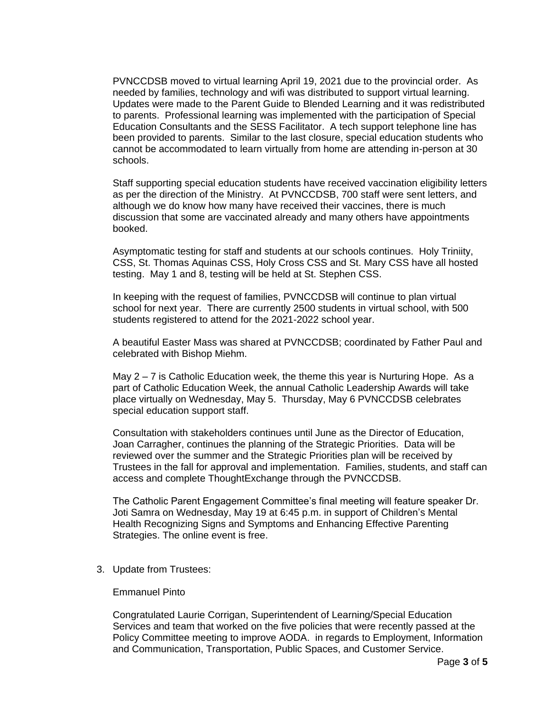PVNCCDSB moved to virtual learning April 19, 2021 due to the provincial order. As needed by families, technology and wifi was distributed to support virtual learning. Updates were made to the Parent Guide to Blended Learning and it was redistributed to parents. Professional learning was implemented with the participation of Special Education Consultants and the SESS Facilitator. A tech support telephone line has been provided to parents. Similar to the last closure, special education students who cannot be accommodated to learn virtually from home are attending in-person at 30 schools.

Staff supporting special education students have received vaccination eligibility letters as per the direction of the Ministry. At PVNCCDSB, 700 staff were sent letters, and although we do know how many have received their vaccines, there is much discussion that some are vaccinated already and many others have appointments booked.

Asymptomatic testing for staff and students at our schools continues. Holy Triniity, CSS, St. Thomas Aquinas CSS, Holy Cross CSS and St. Mary CSS have all hosted testing. May 1 and 8, testing will be held at St. Stephen CSS.

In keeping with the request of families, PVNCCDSB will continue to plan virtual school for next year. There are currently 2500 students in virtual school, with 500 students registered to attend for the 2021-2022 school year.

A beautiful Easter Mass was shared at PVNCCDSB; coordinated by Father Paul and celebrated with Bishop Miehm.

May  $2 - 7$  is Catholic Education week, the theme this year is Nurturing Hope. As a part of Catholic Education Week, the annual Catholic Leadership Awards will take place virtually on Wednesday, May 5. Thursday, May 6 PVNCCDSB celebrates special education support staff.

Consultation with stakeholders continues until June as the Director of Education, Joan Carragher, continues the planning of the Strategic Priorities. Data will be reviewed over the summer and the Strategic Priorities plan will be received by Trustees in the fall for approval and implementation. Families, students, and staff can access and complete ThoughtExchange through the PVNCCDSB.

The Catholic Parent Engagement Committee's final meeting will feature speaker Dr. Joti Samra on Wednesday, May 19 at 6:45 p.m. in support of Children's Mental Health Recognizing Signs and Symptoms and Enhancing Effective Parenting Strategies. The online event is free.

3. Update from Trustees:

Emmanuel Pinto

Congratulated Laurie Corrigan, Superintendent of Learning/Special Education Services and team that worked on the five policies that were recently passed at the Policy Committee meeting to improve AODA. in regards to Employment, Information and Communication, Transportation, Public Spaces, and Customer Service.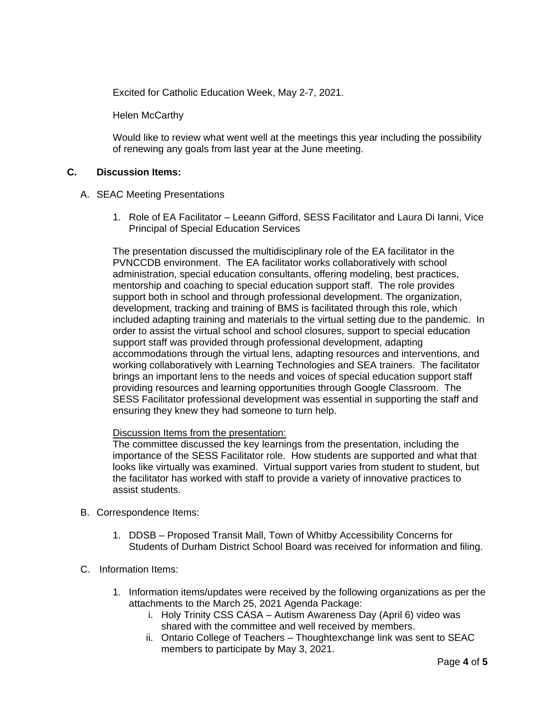Excited for Catholic Education Week, May 2-7, 2021.

Helen McCarthy

Would like to review what went well at the meetings this year including the possibility of renewing any goals from last year at the June meeting.

## **C. Discussion Items:**

## A. SEAC Meeting Presentations

1. Role of EA Facilitator – Leeann Gifford, SESS Facilitator and Laura Di Ianni, Vice Principal of Special Education Services

The presentation discussed the multidisciplinary role of the EA facilitator in the PVNCCDB environment. The EA facilitator works collaboratively with school administration, special education consultants, offering modeling, best practices, mentorship and coaching to special education support staff. The role provides support both in school and through professional development. The organization, development, tracking and training of BMS is facilitated through this role, which included adapting training and materials to the virtual setting due to the pandemic. In order to assist the virtual school and school closures, support to special education support staff was provided through professional development, adapting accommodations through the virtual lens, adapting resources and interventions, and working collaboratively with Learning Technologies and SEA trainers. The facilitator brings an important lens to the needs and voices of special education support staff providing resources and learning opportunities through Google Classroom. The SESS Facilitator professional development was essential in supporting the staff and ensuring they knew they had someone to turn help.

## Discussion Items from the presentation:

The committee discussed the key learnings from the presentation, including the importance of the SESS Facilitator role. How students are supported and what that looks like virtually was examined. Virtual support varies from student to student, but the facilitator has worked with staff to provide a variety of innovative practices to assist students.

- B. Correspondence Items:
	- 1. DDSB Proposed Transit Mall, Town of Whitby Accessibility Concerns for Students of Durham District School Board was received for information and filing.
- C. Information Items:
	- 1. Information items/updates were received by the following organizations as per the attachments to the March 25, 2021 Agenda Package:
		- i. Holy Trinity CSS CASA Autism Awareness Day (April 6) video was shared with the committee and well received by members.
		- ii. Ontario College of Teachers Thoughtexchange link was sent to SEAC members to participate by May 3, 2021.